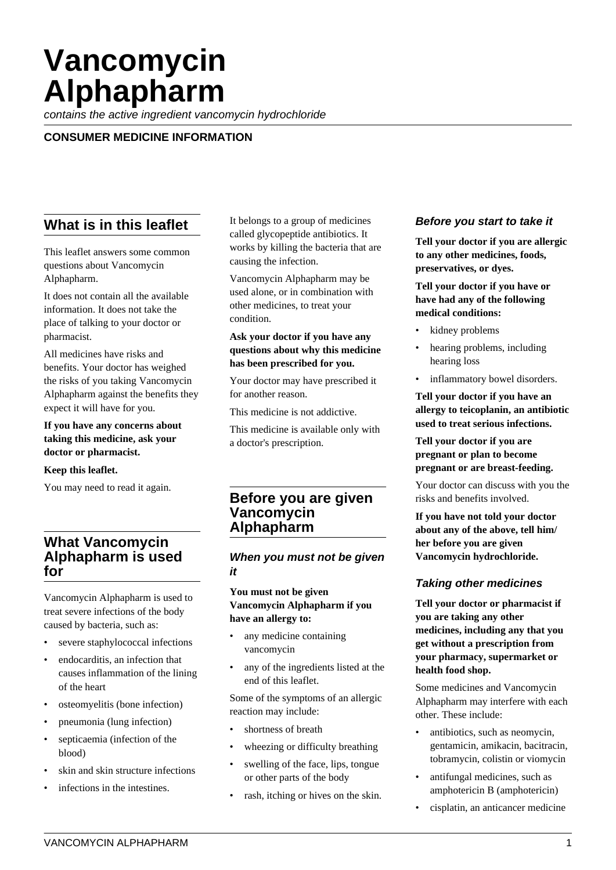# **Vancomycin Alphapharm**

contains the active ingredient vancomycin hydrochloride

## **CONSUMER MEDICINE INFORMATION**

# **What is in this leaflet**

This leaflet answers some common questions about Vancomycin Alphapharm.

It does not contain all the available information. It does not take the place of talking to your doctor or pharmacist.

All medicines have risks and benefits. Your doctor has weighed the risks of you taking Vancomycin Alphapharm against the benefits they expect it will have for you.

#### **If you have any concerns about taking this medicine, ask your doctor or pharmacist.**

#### **Keep this leaflet.**

You may need to read it again.

# **What Vancomycin Alphapharm is used for**

Vancomycin Alphapharm is used to treat severe infections of the body caused by bacteria, such as:

- severe staphylococcal infections
- endocarditis, an infection that causes inflammation of the lining of the heart
- osteomyelitis (bone infection)
- pneumonia (lung infection)
- septicaemia (infection of the blood)
- skin and skin structure infections
- infections in the intestines.

It belongs to a group of medicines called glycopeptide antibiotics. It works by killing the bacteria that are causing the infection.

Vancomycin Alphapharm may be used alone, or in combination with other medicines, to treat your condition.

#### **Ask your doctor if you have any questions about why this medicine has been prescribed for you.**

Your doctor may have prescribed it for another reason.

This medicine is not addictive.

This medicine is available only with a doctor's prescription.

# **Before you are given Vancomycin Alphapharm**

## **When you must not be given it**

**You must not be given Vancomycin Alphapharm if you have an allergy to:**

- any medicine containing vancomycin
- any of the ingredients listed at the end of this leaflet.

Some of the symptoms of an allergic reaction may include:

- shortness of breath
- wheezing or difficulty breathing
- swelling of the face, lips, tongue or other parts of the body
- rash, itching or hives on the skin.

## **Before you start to take it**

**Tell your doctor if you are allergic to any other medicines, foods, preservatives, or dyes.**

**Tell your doctor if you have or have had any of the following medical conditions:**

- kidney problems
- hearing problems, including hearing loss
- inflammatory bowel disorders.

#### **Tell your doctor if you have an allergy to teicoplanin, an antibiotic used to treat serious infections.**

**Tell your doctor if you are pregnant or plan to become pregnant or are breast-feeding.**

Your doctor can discuss with you the risks and benefits involved.

**If you have not told your doctor about any of the above, tell him/ her before you are given Vancomycin hydrochloride.**

## **Taking other medicines**

**Tell your doctor or pharmacist if you are taking any other medicines, including any that you get without a prescription from your pharmacy, supermarket or health food shop.**

Some medicines and Vancomycin Alphapharm may interfere with each other. These include:

- antibiotics, such as neomycin, gentamicin, amikacin, bacitracin, tobramycin, colistin or viomycin
- antifungal medicines, such as amphotericin B (amphotericin)
- cisplatin, an anticancer medicine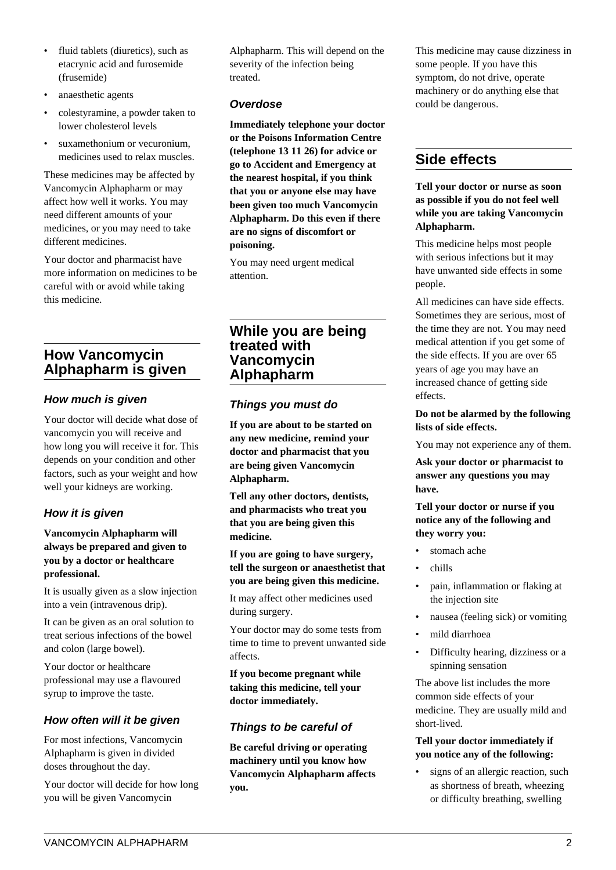- fluid tablets (diuretics), such as etacrynic acid and furosemide (frusemide)
- anaesthetic agents
- colestyramine, a powder taken to lower cholesterol levels
- suxamethonium or vecuronium, medicines used to relax muscles.

These medicines may be affected by Vancomycin Alphapharm or may affect how well it works. You may need different amounts of your medicines, or you may need to take different medicines.

Your doctor and pharmacist have more information on medicines to be careful with or avoid while taking this medicine.

# **How Vancomycin Alphapharm is given**

## **How much is given**

Your doctor will decide what dose of vancomycin you will receive and how long you will receive it for. This depends on your condition and other factors, such as your weight and how well your kidneys are working.

## **How it is given**

#### **Vancomycin Alphapharm will always be prepared and given to you by a doctor or healthcare professional.**

It is usually given as a slow injection into a vein (intravenous drip).

It can be given as an oral solution to treat serious infections of the bowel and colon (large bowel).

Your doctor or healthcare professional may use a flavoured syrup to improve the taste.

# **How often will it be given**

For most infections, Vancomycin Alphapharm is given in divided doses throughout the day.

Your doctor will decide for how long you will be given Vancomycin

Alphapharm. This will depend on the severity of the infection being treated.

## **Overdose**

**Immediately telephone your doctor or the Poisons Information Centre (telephone 13 11 26) for advice or go to Accident and Emergency at the nearest hospital, if you think that you or anyone else may have been given too much Vancomycin Alphapharm. Do this even if there are no signs of discomfort or poisoning.**

You may need urgent medical attention.

# **While you are being treated with Vancomycin Alphapharm**

## **Things you must do**

**If you are about to be started on any new medicine, remind your doctor and pharmacist that you are being given Vancomycin Alphapharm.**

**Tell any other doctors, dentists, and pharmacists who treat you that you are being given this medicine.**

**If you are going to have surgery, tell the surgeon or anaesthetist that you are being given this medicine.**

It may affect other medicines used during surgery.

Your doctor may do some tests from time to time to prevent unwanted side affects.

**If you become pregnant while taking this medicine, tell your doctor immediately.**

# **Things to be careful of**

**Be careful driving or operating machinery until you know how Vancomycin Alphapharm affects you.**

This medicine may cause dizziness in some people. If you have this symptom, do not drive, operate machinery or do anything else that could be dangerous.

# **Side effects**

**Tell your doctor or nurse as soon as possible if you do not feel well while you are taking Vancomycin Alphapharm.**

This medicine helps most people with serious infections but it may have unwanted side effects in some people.

All medicines can have side effects. Sometimes they are serious, most of the time they are not. You may need medical attention if you get some of the side effects. If you are over 65 years of age you may have an increased chance of getting side effects.

**Do not be alarmed by the following lists of side effects.**

You may not experience any of them.

**Ask your doctor or pharmacist to answer any questions you may have.**

**Tell your doctor or nurse if you notice any of the following and they worry you:**

- stomach ache
- chills
- pain, inflammation or flaking at the injection site
- nausea (feeling sick) or vomiting
- mild diarrhoea
- Difficulty hearing, dizziness or a spinning sensation

The above list includes the more common side effects of your medicine. They are usually mild and short-lived.

## **Tell your doctor immediately if you notice any of the following:**

signs of an allergic reaction, such as shortness of breath, wheezing or difficulty breathing, swelling